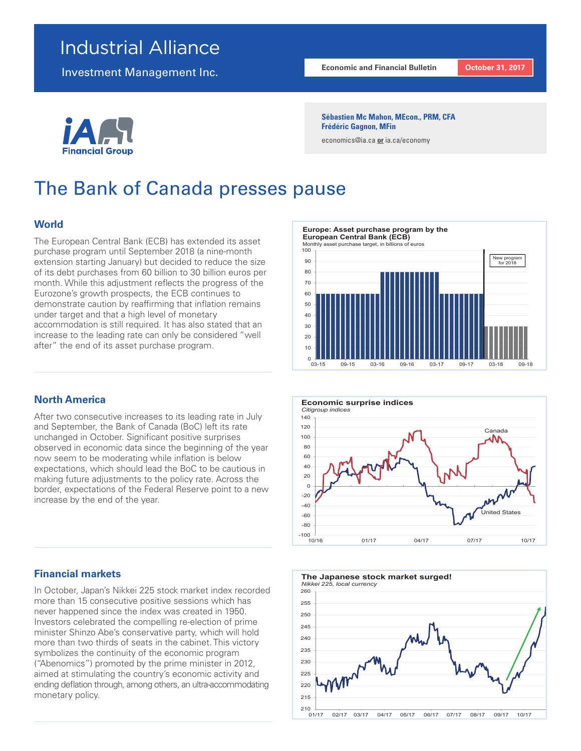## Industrial Alliance

Investment Management Inc.

**Economic and Financial Bulletin October 31, 2017** 

Financial Gro

#### **Sébastien Mc Mahon, MEcon., PRM, CFA Frédéric Gagnon, MFin**

economics@ia.ca **or** ia.ca/economy

# The Bank of Canada presses pause

## **World**

The European Central Bank (ECB) has extended its asset purchase program until September 2018 (a nine-month extension starting January) but decided to reduce the size of its debt purchases from 60 billion to 30 billion euros per month. While this adjustment reflects the progress of the Eurozone's growth prospects, the ECB continues to demonstrate caution by reaffirming that inflation remains under target and that a high level of monetary accommodation is still required. It has also stated that an increase to the leading rate can only be considered "well after" the end of its asset purchase program.

## **North America**

After two consecutive increases to its leading rate in July and September, the Bank of Canada (BoC) left its rate unchanged in October. Significant positive surprises observed in economic data since the beginning of the year now seem to be moderating while inflation is below expectations, which should lead the BoC to be cautious in making future adjustments to the policy rate. Across the border, expectations of the Federal Reserve point to a new increase by the end of the year.

### **Financial markets**

In October, Japan's Nikkei 225 stock market index recorded more than 15 consecutive positive sessions which has never happened since the index was created in 1950. Investors celebrated the compelling re-election of prime minister Shinzo Abe's conservative party, which will hold more than two thirds of seats in the cabinet. This victory symbolizes the continuity of the economic program ("Abenomics") promoted by the prime minister in 2012, aimed at stimulating the country's economic activity and ending deflation through, among others, an ultra-accommodating monetary policy.







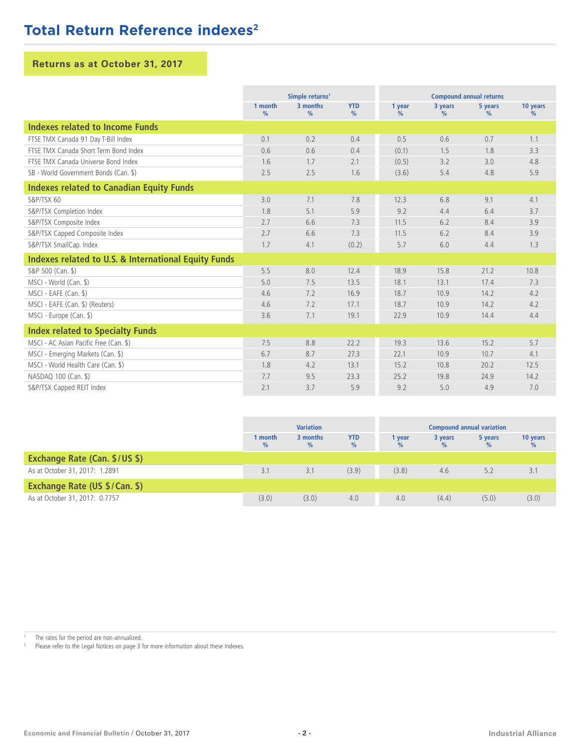## **Total Return Reference indexes<sup>2</sup>**

## **Returns as at October 31, 2017**

|                                                      | Simple returns <sup>1</sup> |                           |                    | <b>Compound annual returns</b> |                 |                 |                  |
|------------------------------------------------------|-----------------------------|---------------------------|--------------------|--------------------------------|-----------------|-----------------|------------------|
|                                                      | 1 month<br>$\%$             | 3 months<br>$\frac{0}{0}$ | <b>YTD</b><br>$\%$ | 1 year<br>$\frac{0}{0}$        | 3 years<br>$\%$ | 5 years<br>$\%$ | 10 years<br>$\%$ |
| Indexes related to Income Funds                      |                             |                           |                    |                                |                 |                 |                  |
| FTSE TMX Canada 91 Day T-Bill Index                  | 0.1                         | 0.2                       | 0.4                | 0.5                            | 0.6             | 0.7             | 1.1              |
| FTSE TMX Canada Short Term Bond Index                | 0.6                         | 0.6                       | 0.4                | (0.1)                          | 1.5             | 1.8             | 3.3              |
| FTSE TMX Canada Universe Bond Index                  | 1.6                         | 1.7                       | 2.1                | (0.5)                          | 3.2             | 3.0             | 4.8              |
| SB - World Government Bonds (Can. \$)                | 2.5                         | 2.5                       | 1.6                | (3.6)                          | 5.4             | 4.8             | 5.9              |
| <b>Indexes related to Canadian Equity Funds</b>      |                             |                           |                    |                                |                 |                 |                  |
| S&P/TSX 60                                           | 3.0                         | 7.1                       | 7.8                | 12.3                           | 6.8             | 9.1             | 4.1              |
| S&P/TSX Completion Index                             | 1.8                         | 5.1                       | 5.9                | 9.2                            | 4.4             | 6.4             | 3.7              |
| S&P/TSX Composite Index                              | 2.7                         | 6.6                       | 7.3                | 11.5                           | 6.2             | 8.4             | 3.9              |
| S&P/TSX Capped Composite Index                       | 2.7                         | 6.6                       | 7.3                | 11.5                           | 6.2             | 8.4             | 3.9              |
| S&P/TSX SmallCap. Index                              | 1.7                         | 4.1                       | (0.2)              | 5.7                            | 6.0             | 4.4             | 1.3              |
| Indexes related to U.S. & International Equity Funds |                             |                           |                    |                                |                 |                 |                  |
| S&P 500 (Can. \$)                                    | 5.5                         | 8.0                       | 12.4               | 18.9                           | 15.8            | 21.2            | 10.8             |
| MSCI - World (Can. \$)                               | 5.0                         | 7.5                       | 13.5               | 18.1                           | 13.1            | 17.4            | 7.3              |
| MSCI - EAFE (Can. \$)                                | 4.6                         | 7.2                       | 16.9               | 18.7                           | 10.9            | 14.2            | 4.2              |
| MSCI - EAFE (Can. \$) (Reuters)                      | 4.6                         | 7.2                       | 17.1               | 18.7                           | 10.9            | 14.2            | 4.2              |
| MSCI - Europe (Can. \$)                              | 3.6                         | 7.1                       | 19.1               | 22.9                           | 10.9            | 14.4            | 4.4              |
| <b>Index related to Specialty Funds</b>              |                             |                           |                    |                                |                 |                 |                  |
| MSCI - AC Asian Pacific Free (Can. \$)               | 7.5                         | 8.8                       | 22.2               | 19.3                           | 13.6            | 15.2            | 5.7              |
| MSCI - Emerging Markets (Can. \$)                    | 6.7                         | 8.7                       | 27.3               | 22.1                           | 10.9            | 10.7            | 4.1              |
| MSCI - World Health Care (Can. \$)                   | 1.8                         | 4.2                       | 13.1               | 15.2                           | 10.8            | 20.2            | 12.5             |
| NASDAQ 100 (Can. \$)                                 | 7.7                         | 9.5                       | 23.3               | 25.2                           | 19.8            | 24.9            | 14.2             |
| S&P/TSX Capped REIT Index                            | 2.1                         | 3.7                       | 5.9                | 9.2                            | 5.0             | 4.9             | 7.0              |

|                                | <b>Variation</b> |                  |                    | <b>Compound annual variation</b> |         |         |          |
|--------------------------------|------------------|------------------|--------------------|----------------------------------|---------|---------|----------|
|                                | 1 month<br>$\%$  | 3 months<br>$\%$ | <b>YTD</b><br>$\%$ | vear                             | 3 years | 5 years | 10 years |
| Exchange Rate (Can. \$/US \$)  |                  |                  |                    |                                  |         |         |          |
| As at October 31, 2017: 1.2891 | 3.1              | 3.1              | (3.9)              | (3.8)                            | 4.6     | 5.2     | 3.1      |
| Exchange Rate (US \$/Can. \$)  |                  |                  |                    |                                  |         |         |          |
| As at October 31, 2017: 0.7757 | (3.0)            | (3.0)            | 4.0                | 4.0                              | (4.4)   | (5.0)   | (3.0)    |

<sup>1</sup> The rates for the period are non-annualized.<br><sup>2</sup> Ploase refer to the Legal Notices on page  $3.5$ 

Please refer to the Legal Notices on page 3 for more information about these Indexes.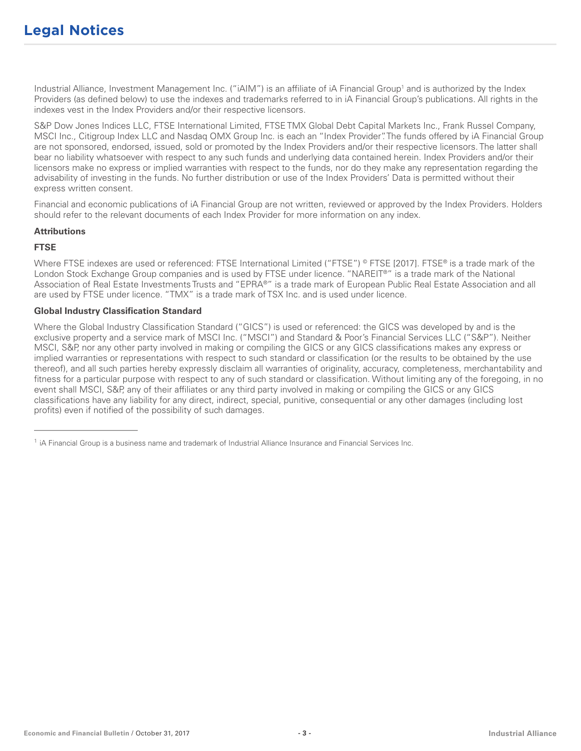Industrial Alliance, Investment Management Inc. ("iAIM") is an affiliate of iA Financial Group1 and is authorized by the Index Providers (as defined below) to use the indexes and trademarks referred to in iA Financial Group's publications. All rights in the indexes vest in the Index Providers and/or their respective licensors.

S&P Dow Jones Indices LLC, FTSE International Limited, FTSE TMX Global Debt Capital Markets Inc., Frank Russel Company, MSCI Inc., Citigroup Index LLC and Nasdaq OMX Group Inc. is each an "Index Provider". The funds offered by iA Financial Group are not sponsored, endorsed, issued, sold or promoted by the Index Providers and/or their respective licensors. The latter shall bear no liability whatsoever with respect to any such funds and underlying data contained herein. Index Providers and/or their licensors make no express or implied warranties with respect to the funds, nor do they make any representation regarding the advisability of investing in the funds. No further distribution or use of the Index Providers' Data is permitted without their express written consent.

Financial and economic publications of iA Financial Group are not written, reviewed or approved by the Index Providers. Holders should refer to the relevant documents of each Index Provider for more information on any index.

#### **Attributions**

## **FTSE**

Where FTSE indexes are used or referenced: FTSE International Limited ("FTSE") © FTSE [2017]. FTSE® is a trade mark of the London Stock Exchange Group companies and is used by FTSE under licence. "NAREIT®" is a trade mark of the National Association of Real Estate Investments Trusts and "EPRA®" is a trade mark of European Public Real Estate Association and all are used by FTSE under licence. "TMX" is a trade mark of TSX Inc. and is used under licence.

### **Global Industry Classification Standard**

\_\_\_\_\_\_\_\_\_\_\_\_\_\_\_\_\_\_\_\_\_\_\_

Where the Global Industry Classification Standard ("GICS") is used or referenced: the GICS was developed by and is the exclusive property and a service mark of MSCI Inc. ("MSCI") and Standard & Poor's Financial Services LLC ("S&P"). Neither MSCI, S&P, nor any other party involved in making or compiling the GICS or any GICS classifications makes any express or implied warranties or representations with respect to such standard or classification (or the results to be obtained by the use thereof), and all such parties hereby expressly disclaim all warranties of originality, accuracy, completeness, merchantability and fitness for a particular purpose with respect to any of such standard or classification. Without limiting any of the foregoing, in no event shall MSCI, S&P, any of their affiliates or any third party involved in making or compiling the GICS or any GICS classifications have any liability for any direct, indirect, special, punitive, consequential or any other damages (including lost profits) even if notified of the possibility of such damages.

<sup>&</sup>lt;sup>1</sup> iA Financial Group is a business name and trademark of Industrial Alliance Insurance and Financial Services Inc.